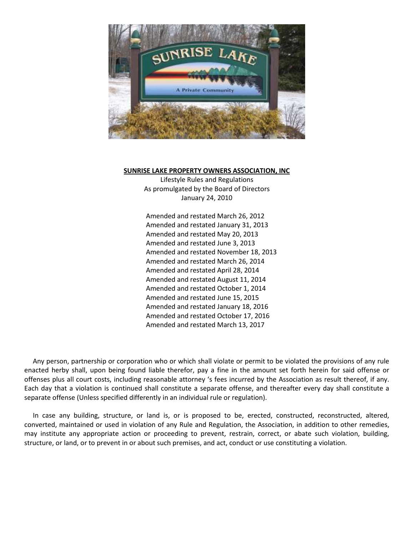

#### **SUNRISE LAKE PROPERTY OWNERS ASSOCIATION, INC**

Lifestyle Rules and Regulations As promulgated by the Board of Directors January 24, 2010

Amended and restated March 26, 2012 Amended and restated January 31, 2013 Amended and restated May 20, 2013 Amended and restated June 3, 2013 Amended and restated November 18, 2013 Amended and restated March 26, 2014 Amended and restated April 28, 2014 Amended and restated August 11, 2014 Amended and restated October 1, 2014 Amended and restated June 15, 2015 Amended and restated January 18, 2016 Amended and restated October 17, 2016 Amended and restated March 13, 2017

 Any person, partnership or corporation who or which shall violate or permit to be violated the provisions of any rule enacted herby shall, upon being found liable therefor, pay a fine in the amount set forth herein for said offense or offenses plus all court costs, including reasonable attorney 's fees incurred by the Association as result thereof, if any. Each day that a violation is continued shall constitute a separate offense, and thereafter every day shall constitute a separate offense (Unless specified differently in an individual rule or regulation).

 In case any building, structure, or land is, or is proposed to be, erected, constructed, reconstructed, altered, converted, maintained or used in violation of any Rule and Regulation, the Association, in addition to other remedies, may institute any appropriate action or proceeding to prevent, restrain, correct, or abate such violation, building, structure, or land, or to prevent in or about such premises, and act, conduct or use constituting a violation.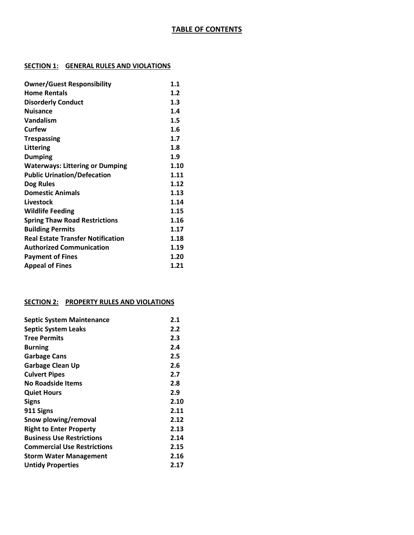# **TABLE OF CONTENTS**

# **SECTION 1: GENERAL RULES AND VIOLATIONS**

| <b>Owner/Guest Responsibility</b>        | 1.1  |
|------------------------------------------|------|
| <b>Home Rentals</b>                      | 1.2  |
| <b>Disorderly Conduct</b>                | 1.3  |
| <b>Nuisance</b>                          | 1.4  |
| Vandalism                                | 1.5  |
| Curfew                                   | 1.6  |
| <b>Trespassing</b>                       | 1.7  |
| Littering                                | 1.8  |
| <b>Dumping</b>                           | 1.9  |
| <b>Waterways: Littering or Dumping</b>   | 1.10 |
| <b>Public Urination/Defecation</b>       | 1.11 |
| Dog Rules                                | 1.12 |
| <b>Domestic Animals</b>                  | 1.13 |
| Livestock                                | 1.14 |
| <b>Wildlife Feeding</b>                  | 1.15 |
| <b>Spring Thaw Road Restrictions</b>     | 1.16 |
| <b>Building Permits</b>                  | 1.17 |
| <b>Real Estate Transfer Notification</b> | 1.18 |
| <b>Authorized Communication</b>          | 1.19 |
| <b>Payment of Fines</b>                  | 1.20 |
| <b>Appeal of Fines</b>                   | 1.21 |

## **SECTION 2: PROPERTY RULES AND VIOLATIONS**

| <b>Septic System Maintenance</b>   | 2.1  |
|------------------------------------|------|
| <b>Septic System Leaks</b>         | 2.2  |
| <b>Tree Permits</b>                | 2.3  |
| <b>Burning</b>                     | 2.4  |
| <b>Garbage Cans</b>                | 2.5  |
| <b>Garbage Clean Up</b>            | 2.6  |
| <b>Culvert Pipes</b>               | 2.7  |
| <b>No Roadside Items</b>           | 2.8  |
| <b>Quiet Hours</b>                 | 2.9  |
| <b>Signs</b>                       | 2.10 |
| 911 Signs                          | 2.11 |
| Snow plowing/removal               | 2.12 |
| <b>Right to Enter Property</b>     | 2.13 |
| <b>Business Use Restrictions</b>   | 2.14 |
| <b>Commercial Use Restrictions</b> | 2.15 |
| <b>Storm Water Management</b>      | 2.16 |
| <b>Untidy Properties</b>           | 2.17 |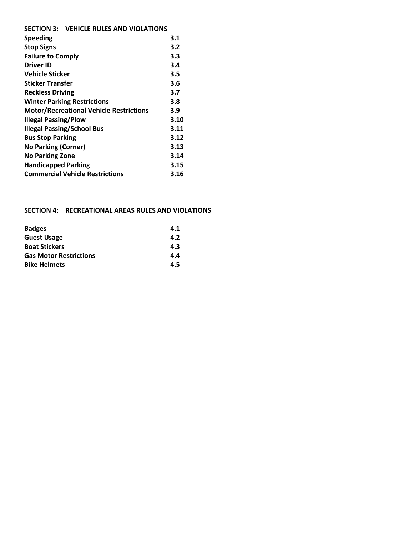| SECTION 3: VEHICLE RULES AND VIOLATIONS |
|-----------------------------------------|
|                                         |

| <b>Speeding</b>                                | 3.1  |
|------------------------------------------------|------|
| <b>Stop Signs</b>                              | 3.2  |
| <b>Failure to Comply</b>                       | 3.3  |
| <b>Driver ID</b>                               | 3.4  |
| Vehicle Sticker                                | 3.5  |
| <b>Sticker Transfer</b>                        | 3.6  |
| <b>Reckless Driving</b>                        | 3.7  |
| <b>Winter Parking Restrictions</b>             | 3.8  |
| <b>Motor/Recreational Vehicle Restrictions</b> | 3.9  |
| <b>Illegal Passing/Plow</b>                    | 3.10 |
| <b>Illegal Passing/School Bus</b>              | 3.11 |
| <b>Bus Stop Parking</b>                        | 3.12 |
| <b>No Parking (Corner)</b>                     | 3.13 |
| <b>No Parking Zone</b>                         | 3.14 |
| <b>Handicapped Parking</b>                     | 3.15 |
| <b>Commercial Vehicle Restrictions</b>         | 3.16 |
|                                                |      |

# **SECTION 4: RECREATIONAL AREAS RULES AND VIOLATIONS**

| <b>Badges</b>                 | 4.1 |
|-------------------------------|-----|
| <b>Guest Usage</b>            | 4.2 |
| <b>Boat Stickers</b>          | 4.3 |
| <b>Gas Motor Restrictions</b> | 4.4 |
| <b>Bike Helmets</b>           | 4.5 |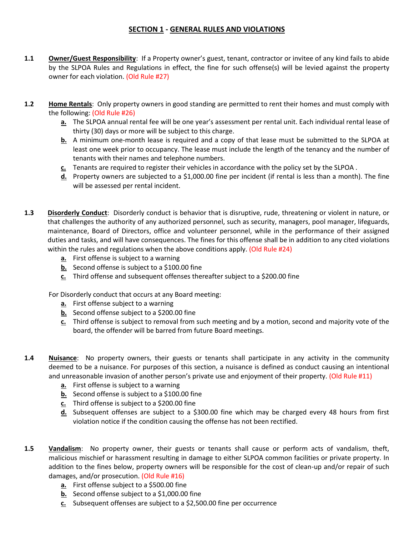# **SECTION 1 - GENERAL RULES AND VIOLATIONS**

- **1.1 Owner/Guest Responsibility**: If a Property owner's guest, tenant, contractor or invitee of any kind fails to abide by the SLPOA Rules and Regulations in effect, the fine for such offense(s) will be levied against the property owner for each violation. (Old Rule #27)
- **1.2 Home Rentals**: Only property owners in good standing are permitted to rent their homes and must comply with the following: (Old Rule #26)
	- **a.** The SLPOA annual rental fee will be one year's assessment per rental unit. Each individual rental lease of thirty (30) days or more will be subject to this charge.
	- **b.** A minimum one-month lease is required and a copy of that lease must be submitted to the SLPOA at least one week prior to occupancy. The lease must include the length of the tenancy and the number of tenants with their names and telephone numbers.
	- **c.** Tenants are required to register their vehicles in accordance with the policy set by the SLPOA .
	- **d.** Property owners are subjected to a \$1,000.00 fine per incident (if rental is less than a month). The fine will be assessed per rental incident.
- **1.3 Disorderly Conduct**: Disorderly conduct is behavior that is disruptive, rude, threatening or violent in nature, or that challenges the authority of any authorized personnel, such as security, managers, pool manager, lifeguards, maintenance, Board of Directors, office and volunteer personnel, while in the performance of their assigned duties and tasks, and will have consequences. The fines for this offense shall be in addition to any cited violations within the rules and regulations when the above conditions apply. (Old Rule #24)
	- **a.** First offense is subject to a warning
	- **b.** Second offense is subject to a \$100.00 fine
	- **c.** Third offense and subsequent offenses thereafter subject to a \$200.00 fine

For Disorderly conduct that occurs at any Board meeting:

- **a.** First offense subject to a warning
- **b.** Second offense subject to a \$200.00 fine
- **c.** Third offense is subject to removal from such meeting and by a motion, second and majority vote of the board, the offender will be barred from future Board meetings.
- **1.4 Nuisance**: No property owners, their guests or tenants shall participate in any activity in the community deemed to be a nuisance. For purposes of this section, a nuisance is defined as conduct causing an intentional and unreasonable invasion of another person's private use and enjoyment of their property. (Old Rule #11)
	- **a.** First offense is subject to a warning
	- **b.** Second offense is subject to a \$100.00 fine
	- **c.** Third offense is subject to a \$200.00 fine
	- **d.** Subsequent offenses are subject to a \$300.00 fine which may be charged every 48 hours from first violation notice if the condition causing the offense has not been rectified.
- **1.5 Vandalism**: No property owner, their guests or tenants shall cause or perform acts of vandalism, theft, malicious mischief or harassment resulting in damage to either SLPOA common facilities or private property. In addition to the fines below, property owners will be responsible for the cost of clean-up and/or repair of such damages, and/or prosecution. (Old Rule #16)
	- **a.** First offense subject to a \$500.00 fine
	- **b.** Second offense subject to a \$1,000.00 fine
	- **c.** Subsequent offenses are subject to a \$2,500.00 fine per occurrence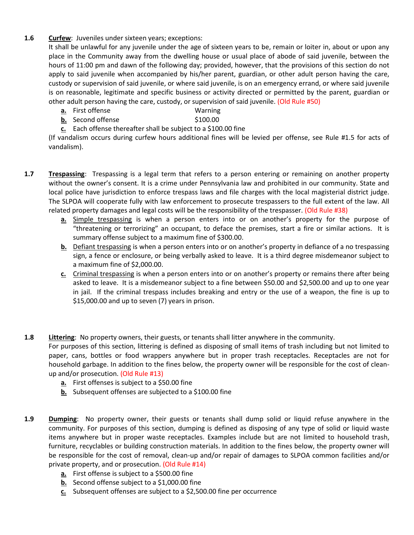## **1.6 Curfew**: Juveniles under sixteen years; exceptions:

It shall be unlawful for any juvenile under the age of sixteen years to be, remain or loiter in, about or upon any place in the Community away from the dwelling house or usual place of abode of said juvenile, between the hours of 11:00 pm and dawn of the following day; provided, however, that the provisions of this section do not apply to said juvenile when accompanied by his/her parent, guardian, or other adult person having the care, custody or supervision of said juvenile, or where said juvenile, is on an emergency errand, or where said juvenile is on reasonable, legitimate and specific business or activity directed or permitted by the parent, guardian or other adult person having the care, custody, or supervision of said juvenile. (Old Rule #50)

- **a.** First offense Warning
- **b.** Second offense \$100.00
- **c.** Each offense thereafter shall be subject to a \$100.00 fine

(If vandalism occurs during curfew hours additional fines will be levied per offense, see Rule #1.5 for acts of vandalism).

- **1.7 Trespassing**: Trespassing is a legal term that refers to a person entering or remaining on another property without the owner's consent. It is a crime under Pennsylvania law and prohibited in our community. State and local police have jurisdiction to enforce trespass laws and file charges with the local magisterial district judge. The SLPOA will cooperate fully with law enforcement to prosecute trespassers to the full extent of the law. All related property damages and legal costs will be the responsibility of the trespasser. (Old Rule #38)
	- **a.** Simple trespassing is when a person enters into or on another's property for the purpose of "threatening or terrorizing" an occupant, to deface the premises, start a fire or similar actions. It is summary offense subject to a maximum fine of \$300.00.
	- **b.** Defiant trespassing is when a person enters into or on another's property in defiance of a no trespassing sign, a fence or enclosure, or being verbally asked to leave. It is a third degree misdemeanor subject to a maximum fine of \$2,000.00.
	- **c.** Criminal trespassing is when a person enters into or on another's property or remains there after being asked to leave. It is a misdemeanor subject to a fine between \$50.00 and \$2,500.00 and up to one year in jail. If the criminal trespass includes breaking and entry or the use of a weapon, the fine is up to \$15,000.00 and up to seven (7) years in prison.
- **1.8 Littering**: No property owners, their guests, or tenants shall litter anywhere in the community. For purposes of this section, littering is defined as disposing of small items of trash including but not limited to paper, cans, bottles or food wrappers anywhere but in proper trash receptacles. Receptacles are not for household garbage. In addition to the fines below, the property owner will be responsible for the cost of cleanup and/or prosecution. (Old Rule #13)
	- **a.** First offenses is subject to a \$50.00 fine
	- **b.** Subsequent offenses are subjected to a \$100.00 fine
- **1.9 Dumping**: No property owner, their guests or tenants shall dump solid or liquid refuse anywhere in the community. For purposes of this section, dumping is defined as disposing of any type of solid or liquid waste items anywhere but in proper waste receptacles. Examples include but are not limited to household trash, furniture, recyclables or building construction materials. In addition to the fines below, the property owner will be responsible for the cost of removal, clean-up and/or repair of damages to SLPOA common facilities and/or private property, and or prosecution. (Old Rule #14)
	- **a.** First offense is subject to a \$500.00 fine
	- **b.** Second offense subject to a \$1,000.00 fine
	- **c.** Subsequent offenses are subject to a \$2,500.00 fine per occurrence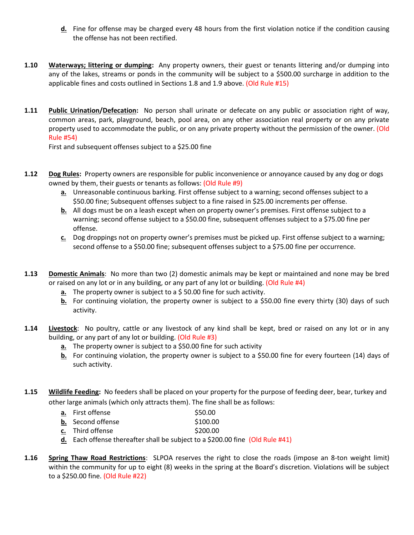- **d.** Fine for offense may be charged every 48 hours from the first violation notice if the condition causing the offense has not been rectified.
- **1.10 Waterways; littering or dumping:** Any property owners, their guest or tenants littering and/or dumping into any of the lakes, streams or ponds in the community will be subject to a \$500.00 surcharge in addition to the applicable fines and costs outlined in Sections 1.8 and 1.9 above. (Old Rule #15)
- **1.11 Public Urination/Defecation:** No person shall urinate or defecate on any public or association right of way, common areas, park, playground, beach, pool area, on any other association real property or on any private property used to accommodate the public, or on any private property without the permission of the owner. (Old Rule #54)

First and subsequent offenses subject to a \$25.00 fine

- **1.12 Dog Rules:** Property owners are responsible for public inconvenience or annoyance caused by any dog or dogs owned by them, their guests or tenants as follows: (Old Rule #9)
	- **a.** Unreasonable continuous barking. First offense subject to a warning; second offenses subject to a \$50.00 fine; Subsequent offenses subject to a fine raised in \$25.00 increments per offense.
	- **b.** All dogs must be on a leash except when on property owner's premises. First offense subject to a warning; second offense subject to a \$50.00 fine, subsequent offenses subject to a \$75.00 fine per offense.
	- **c.** Dog droppings not on property owner's premises must be picked up. First offense subject to a warning; second offense to a \$50.00 fine; subsequent offenses subject to a \$75.00 fine per occurrence.
- **1.13 Domestic Animals**: No more than two (2) domestic animals may be kept or maintained and none may be bred or raised on any lot or in any building, or any part of any lot or building. (Old Rule #4)
	- **a.** The property owner is subject to a \$ 50.00 fine for such activity.
	- **b.** For continuing violation, the property owner is subject to a \$50.00 fine every thirty (30) days of such activity.
- **1.14 Livestock**: No poultry, cattle or any livestock of any kind shall be kept, bred or raised on any lot or in any building, or any part of any lot or building. (Old Rule #3)
	- **a.** The property owner is subject to a \$50.00 fine for such activity
	- **b.** For continuing violation, the property owner is subject to a \$50.00 fine for every fourteen (14) days of such activity.
- **1.15 Wildlife Feeding:** No feeders shall be placed on your property for the purpose of feeding deer, bear, turkey and other large animals (which only attracts them). The fine shall be as follows:
	- **a.** First offense \$50.00
	- **b.** Second offense \$100.00
	- **c.** Third offense \$200.00
	- **d.** Each offense thereafter shall be subject to a \$200.00 fine (Old Rule #41)
- **1.16 Spring Thaw Road Restrictions**: SLPOA reserves the right to close the roads (impose an 8-ton weight limit) within the community for up to eight (8) weeks in the spring at the Board's discretion. Violations will be subject to a \$250.00 fine. (Old Rule #22)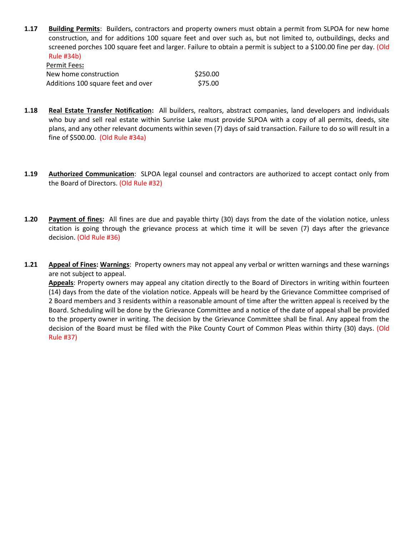**1.17 Building Permits**: Builders, contractors and property owners must obtain a permit from SLPOA for new home construction, and for additions 100 square feet and over such as, but not limited to, outbuildings, decks and screened porches 100 square feet and larger. Failure to obtain a permit is subject to a \$100.00 fine per day. (Old Rule #34b) Permit Fees**:**

| .                                  |          |
|------------------------------------|----------|
| New home construction              | \$250.00 |
| Additions 100 square feet and over | \$75.00  |

- **1.18 Real Estate Transfer Notification:** All builders, realtors, abstract companies, land developers and individuals who buy and sell real estate within Sunrise Lake must provide SLPOA with a copy of all permits, deeds, site plans, and any other relevant documents within seven (7) days of said transaction. Failure to do so will result in a fine of \$500.00. (Old Rule #34a)
- **1.19 Authorized Communication**: SLPOA legal counsel and contractors are authorized to accept contact only from the Board of Directors. (Old Rule #32)
- **1.20 Payment of fines:** All fines are due and payable thirty (30) days from the date of the violation notice, unless citation is going through the grievance process at which time it will be seven (7) days after the grievance decision. (Old Rule #36)
- **1.21 Appeal of Fines: Warnings**: Property owners may not appeal any verbal or written warnings and these warnings are not subject to appeal.

**Appeals**: Property owners may appeal any citation directly to the Board of Directors in writing within fourteen (14) days from the date of the violation notice. Appeals will be heard by the Grievance Committee comprised of 2 Board members and 3 residents within a reasonable amount of time after the written appeal is received by the Board. Scheduling will be done by the Grievance Committee and a notice of the date of appeal shall be provided to the property owner in writing. The decision by the Grievance Committee shall be final. Any appeal from the decision of the Board must be filed with the Pike County Court of Common Pleas within thirty (30) days. (Old Rule #37)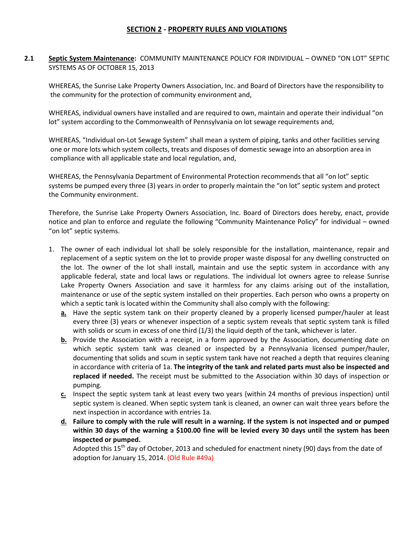## **SECTION 2 - PROPERTY RULES AND VIOLATIONS**

## **2.1 Septic System Maintenance:** COMMUNITY MAINTENANCE POLICY FOR INDIVIDUAL – OWNED "ON LOT" SEPTIC SYSTEMS AS OF OCTOBER 15, 2013

WHEREAS, the Sunrise Lake Property Owners Association, Inc. and Board of Directors have the responsibility to the community for the protection of community environment and,

WHEREAS, individual owners have installed and are required to own, maintain and operate their individual "on lot" system according to the Commonwealth of Pennsylvania on lot sewage requirements and,

WHEREAS, "Individual on-Lot Sewage System" shall mean a system of piping, tanks and other facilities serving one or more lots which system collects, treats and disposes of domestic sewage into an absorption area in compliance with all applicable state and local regulation, and,

WHEREAS, the Pennsylvania Department of Environmental Protection recommends that all "on lot" septic systems be pumped every three (3) years in order to properly maintain the "on lot" septic system and protect the Community environment.

Therefore, the Sunrise Lake Property Owners Association, Inc. Board of Directors does hereby, enact, provide notice and plan to enforce and regulate the following "Community Maintenance Policy" for individual – owned "on lot" septic systems.

- 1. The owner of each individual lot shall be solely responsible for the installation, maintenance, repair and replacement of a septic system on the lot to provide proper waste disposal for any dwelling constructed on the lot. The owner of the lot shall install, maintain and use the septic system in accordance with any applicable federal, state and local laws or regulations. The individual lot owners agree to release Sunrise Lake Property Owners Association and save it harmless for any claims arising out of the installation, maintenance or use of the septic system installed on their properties. Each person who owns a property on which a septic tank is located within the Community shall also comply with the following:
	- **a.** Have the septic system tank on their property cleaned by a properly licensed pumper/hauler at least every three (3) years or whenever inspection of a septic system reveals that septic system tank is filled with solids or scum in excess of one third (1/3) the liquid depth of the tank, whichever is later.
	- **b.** Provide the Association with a receipt, in a form approved by the Association, documenting date on which septic system tank was cleaned or inspected by a Pennsylvania licensed pumper/hauler, documenting that solids and scum in septic system tank have not reached a depth that requires cleaning in accordance with criteria of 1a. **The integrity of the tank and related parts must also be inspected and replaced if needed.** The receipt must be submitted to the Association within 30 days of inspection or pumping.
	- **c.** Inspect the septic system tank at least every two years {within 24 months of previous inspection) until septic system is cleaned. When septic system tank is cleaned, an owner can wait three years before the next inspection in accordance with entries 1a.
	- **d. Failure to comply with the rule will result in a warning. If the system is not inspected and or pumped within 30 days of the warning a \$100.00 fine will be levied every 30 days until the system has been inspected or pumped.**

Adopted this 15<sup>th</sup> day of October, 2013 and scheduled for enactment ninety (90) days from the date of adoption for January 15, 2014. (Old Rule #49a)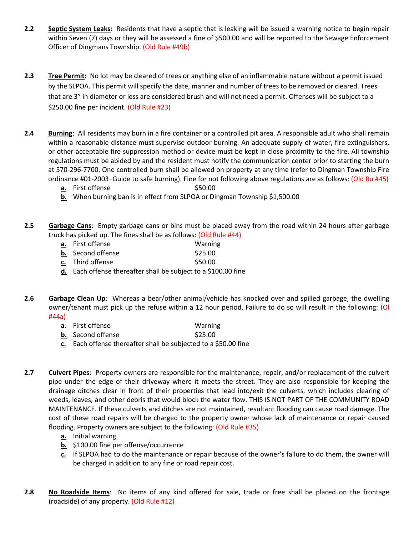- **2.2 Septic System Leaks:** Residents that have a septic that is leaking will be issued a warning notice to begin repair within Seven (7) days or they will be assessed a fine of \$500.00 and will be reported to the Sewage Enforcement Officer of Dingmans Township. (Old Rule #49b)
- **2.3 Tree Permit:** No lot may be cleared of trees or anything else of an inflammable nature without a permit issued by the SLPOA. This permit will specify the date, manner and number of trees to be removed or cleared. Trees that are 3" in diameter or less are considered brush and will not need a permit. Offenses will be subject to a \$250.00 fine per incident. (Old Rule #23)
- **2.4 Burning**: All residents may burn in a fire container or a controlled pit area. A responsible adult who shall remain within a reasonable distance must supervise outdoor burning. An adequate supply of water, fire extinguishers, or other acceptable fire suppression method or device must be kept in close proximity to the fire. All township regulations must be abided by and the resident must notify the communication center prior to starting the burn at 570-296-7700. One controlled burn shall be allowed on property at any time (refer to Dingman Township Fire ordinance #01-2003–Guide to safe burning). Fine for not following above regulations are as follows: (Old Ru #45)
	- **a.** First offense **\$50.00**
	- **b.** When burning ban is in effect from SLPOA or Dingman Township \$1,500.00
- **2.5 Garbage Cans**: Empty garbage cans or bins must be placed away from the road within 24 hours after garbage truck has picked up. The fines shall be as follows: (Old Rule #44)
	- **a.** First offense Warning
	- **b.** Second offense \$25.00
	- **c.** Third offense \$50.00
	- **d.** Each offense thereafter shall be subject to a \$100.00 fine
- **2.6 Garbage Clean Up**: Whereas a bear/other animal/vehicle has knocked over and spilled garbage, the dwelling owner/tenant must pick up the refuse within a 12 hour period. Failure to do so will result in the following: (Ol #44a)
	- **a.** First offense Warning
	- **b.** Second offense \$25.00
	- **c.** Each offense thereafter shall be subjected to a \$50.00 fine
- **2.7 Culvert Pipes**: Property owners are responsible for the maintenance, repair, and/or replacement of the culvert pipe under the edge of their driveway where it meets the street. They are also responsible for keeping the drainage ditches clear in front of their properties that lead into/exit the culverts, which includes clearing of weeds, leaves, and other debris that would block the water flow. THIS IS NOT PART OF THE COMMUNITY ROAD MAINTENANCE. If these culverts and ditches are not maintained, resultant flooding can cause road damage. The cost of these road repairs will be charged to the property owner whose lack of maintenance or repair caused flooding. Property owners are subject to the following: (Old Rule #35)
	- **a.** Initial warning
	- **b.** \$100.00 fine per offense/occurrence
	- **c.** If SLPOA had to do the maintenance or repair because of the owner's failure to do them, the owner will be charged in addition to any fine or road repair cost.
- **2.8 No Roadside Items**: No items of any kind offered for sale, trade or free shall be placed on the frontage (roadside) of any property. (Old Rule #12)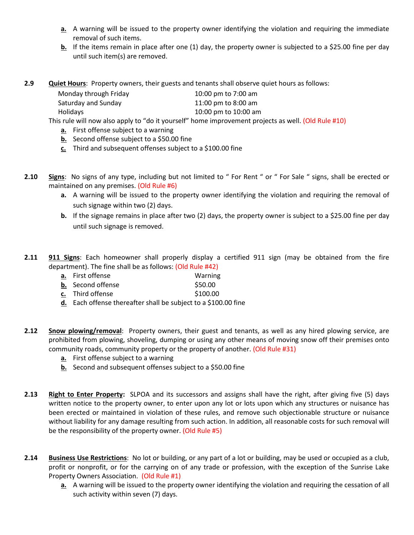- **a.** A warning will be issued to the property owner identifying the violation and requiring the immediate removal of such items.
- **b.** If the items remain in place after one (1) day, the property owner is subjected to a \$25.00 fine per day until such item(s) are removed.
- **2.9 Quiet Hours**: Property owners, their guests and tenants shall observe quiet hours as follows:

| Monday through Friday | 10:00 pm to 7:00 am  |
|-----------------------|----------------------|
| Saturday and Sunday   | 11:00 pm to 8:00 am  |
| Holidays              | 10:00 pm to 10:00 am |

This rule will now also apply to "do it yourself" home improvement projects as well. (Old Rule #10)

- **a.** First offense subject to a warning
- **b.** Second offense subject to a \$50.00 fine
- **c.** Third and subsequent offenses subject to a \$100.00 fine
- **2.10 Signs**: No signs of any type, including but not limited to " For Rent " or " For Sale " signs, shall be erected or maintained on any premises. (Old Rule #6)
	- **a.** A warning will be issued to the property owner identifying the violation and requiring the removal of such signage within two (2) days.
	- **b.** If the signage remains in place after two (2) days, the property owner is subject to a \$25.00 fine per day until such signage is removed.
- **2.11 911 Signs**: Each homeowner shall properly display a certified 911 sign (may be obtained from the fire department). The fine shall be as follows: (Old Rule #42)
	- **a.** First offense Warning
	- **b.** Second offense \$50.00
	- **c.** Third offense \$100.00
	- **d.** Each offense thereafter shall be subject to a \$100.00 fine
- **2.12 Snow plowing/removal**: Property owners, their guest and tenants, as well as any hired plowing service, are prohibited from plowing, shoveling, dumping or using any other means of moving snow off their premises onto community roads, community property or the property of another. (Old Rule #31)
	- **a.** First offense subject to a warning
	- **b.** Second and subsequent offenses subject to a \$50.00 fine
- **2.13 Right to Enter Property:** SLPOA and its successors and assigns shall have the right, after giving five (5) days written notice to the property owner, to enter upon any lot or lots upon which any structures or nuisance has been erected or maintained in violation of these rules, and remove such objectionable structure or nuisance without liability for any damage resulting from such action. In addition, all reasonable costs for such removal will be the responsibility of the property owner. (Old Rule #5)
- **2.14 Business Use Restrictions**: No lot or building, or any part of a lot or building, may be used or occupied as a club, profit or nonprofit, or for the carrying on of any trade or profession, with the exception of the Sunrise Lake Property Owners Association. (Old Rule #1)
	- **a.** A warning will be issued to the property owner identifying the violation and requiring the cessation of all such activity within seven (7) days.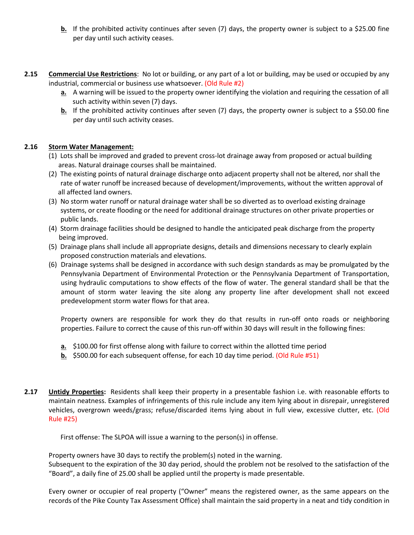- **b.** If the prohibited activity continues after seven (7) days, the property owner is subject to a \$25.00 fine per day until such activity ceases.
- **2.15 Commercial Use Restrictions**: No lot or building, or any part of a lot or building, may be used or occupied by any industrial, commercial or business use whatsoever. (Old Rule #2)
	- **a.** A warning will be issued to the property owner identifying the violation and requiring the cessation of all such activity within seven (7) days.
	- **b.** If the prohibited activity continues after seven (7) days, the property owner is subject to a \$50.00 fine per day until such activity ceases.

### **2.16 Storm Water Management:**

- (1) Lots shall be improved and graded to prevent cross-lot drainage away from proposed or actual building areas. Natural drainage courses shall be maintained.
- (2) The existing points of natural drainage discharge onto adjacent property shall not be altered, nor shall the rate of water runoff be increased because of development/improvements, without the written approval of all affected land owners.
- (3) No storm water runoff or natural drainage water shall be so diverted as to overload existing drainage systems, or create flooding or the need for additional drainage structures on other private properties or public lands.
- (4) Storm drainage facilities should be designed to handle the anticipated peak discharge from the property being improved.
- (5) Drainage plans shall include all appropriate designs, details and dimensions necessary to clearly explain proposed construction materials and elevations.
- (6) Drainage systems shall be designed in accordance with such design standards as may be promulgated by the Pennsylvania Department of Environmental Protection or the Pennsylvania Department of Transportation, using hydraulic computations to show effects of the flow of water. The general standard shall be that the amount of storm water leaving the site along any property line after development shall not exceed predevelopment storm water flows for that area.

Property owners are responsible for work they do that results in run-off onto roads or neighboring properties. Failure to correct the cause of this run-off within 30 days will result in the following fines:

- **a.** \$100.00 for first offense along with failure to correct within the allotted time period
- **b.** \$500.00 for each subsequent offense, for each 10 day time period. (Old Rule #51)
- **2.17 Untidy Properties:** Residents shall keep their property in a presentable fashion i.e. with reasonable efforts to maintain neatness. Examples of infringements of this rule include any item lying about in disrepair, unregistered vehicles, overgrown weeds/grass; refuse/discarded items lying about in full view, excessive clutter, etc. (Old Rule #25)

First offense: The SLPOA will issue a warning to the person(s) in offense.

Property owners have 30 days to rectify the problem(s) noted in the warning.

Subsequent to the expiration of the 30 day period, should the problem not be resolved to the satisfaction of the "Board", a daily fine of 25.00 shall be applied until the property is made presentable.

Every owner or occupier of real property ("Owner" means the registered owner, as the same appears on the records of the Pike County Tax Assessment Office) shall maintain the said property in a neat and tidy condition in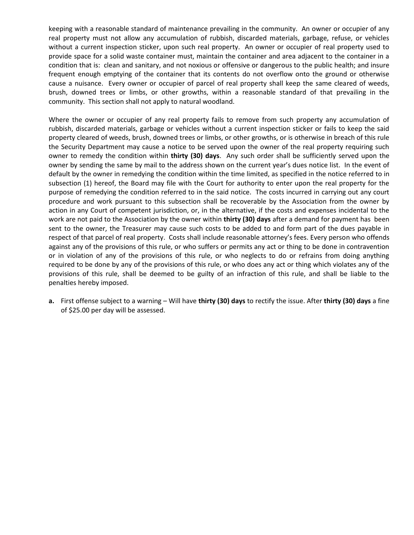keeping with a reasonable standard of maintenance prevailing in the community. An owner or occupier of any real property must not allow any accumulation of rubbish, discarded materials, garbage, refuse, or vehicles without a current inspection sticker, upon such real property. An owner or occupier of real property used to provide space for a solid waste container must, maintain the container and area adjacent to the container in a condition that is: clean and sanitary, and not noxious or offensive or dangerous to the public health; and insure frequent enough emptying of the container that its contents do not overflow onto the ground or otherwise cause a nuisance. Every owner or occupier of parcel of real property shall keep the same cleared of weeds, brush, downed trees or limbs, or other growths, within a reasonable standard of that prevailing in the community. This section shall not apply to natural woodland.

Where the owner or occupier of any real property fails to remove from such property any accumulation of rubbish, discarded materials, garbage or vehicles without a current inspection sticker or fails to keep the said property cleared of weeds, brush, downed trees or limbs, or other growths, or is otherwise in breach of this rule the Security Department may cause a notice to be served upon the owner of the real property requiring such owner to remedy the condition within **thirty (30) days**. Any such order shall be sufficiently served upon the owner by sending the same by mail to the address shown on the current year's dues notice list. In the event of default by the owner in remedying the condition within the time limited, as specified in the notice referred to in subsection (1) hereof, the Board may file with the Court for authority to enter upon the real property for the purpose of remedying the condition referred to in the said notice. The costs incurred in carrying out any court procedure and work pursuant to this subsection shall be recoverable by the Association from the owner by action in any Court of competent jurisdiction, or, in the alternative, if the costs and expenses incidental to the work are not paid to the Association by the owner within **thirty (30) days** after a demand for payment has been sent to the owner, the Treasurer may cause such costs to be added to and form part of the dues payable in respect of that parcel of real property. Costs shall include reasonable attorney's fees. Every person who offends against any of the provisions of this rule, or who suffers or permits any act or thing to be done in contravention or in violation of any of the provisions of this rule, or who neglects to do or refrains from doing anything required to be done by any of the provisions of this rule, or who does any act or thing which violates any of the provisions of this rule, shall be deemed to be guilty of an infraction of this rule, and shall be liable to the penalties hereby imposed.

**a.** First offense subject to a warning – Will have **thirty (30) days** to rectify the issue. After **thirty (30) days** a fine of \$25.00 per day will be assessed.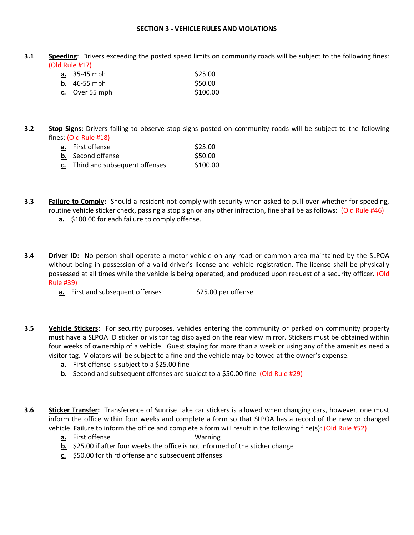#### **SECTION 3 - VEHICLE RULES AND VIOLATIONS**

**3.1 Speeding**: Drivers exceeding the posted speed limits on community roads will be subject to the following fines: (Old Rule #17)

| <u>a.</u> 35-45 mph | \$25.00  |
|---------------------|----------|
| <b>b.</b> 46-55 mph | \$50.00  |
| c. Over 55 mph      | \$100.00 |

**3.2 Stop Signs:** Drivers failing to observe stop signs posted on community roads will be subject to the following fines: (Old Rule #18)

| a. First offense                 | \$25.00  |
|----------------------------------|----------|
| <b>b.</b> Second offense         | \$50.00  |
| c. Third and subsequent offenses | \$100.00 |

- **3.3 Failure to Comply:** Should a resident not comply with security when asked to pull over whether for speeding, routine vehicle sticker check, passing a stop sign or any other infraction, fine shall be as follows: (Old Rule #46)  **a.** \$100.00 for each failure to comply offense.
- **3.4 Driver ID:** No person shall operate a motor vehicle on any road or common area maintained by the SLPOA without being in possession of a valid driver's license and vehicle registration. The license shall be physically possessed at all times while the vehicle is being operated, and produced upon request of a security officer. (Old Rule #39)
	- **a.** First and subsequent offenses \$25.00 per offense
- **3.5 Vehicle Stickers:** For security purposes, vehicles entering the community or parked on community property must have a SLPOA ID sticker or visitor tag displayed on the rear view mirror. Stickers must be obtained within four weeks of ownership of a vehicle. Guest staying for more than a week or using any of the amenities need a visitor tag. Violators will be subject to a fine and the vehicle may be towed at the owner's expense.
	- **a.** First offense is subject to a \$25.00 fine
	- **b.** Second and subsequent offenses are subject to a \$50.00 fine (Old Rule #29)
- **3.6 Sticker Transfer:** Transference of Sunrise Lake car stickers is allowed when changing cars, however, one must inform the office within four weeks and complete a form so that SLPOA has a record of the new or changed vehicle. Failure to inform the office and complete a form will result in the following fine(s): (Old Rule #52)
	- **a.** First offense Warning
	- **b.** \$25.00 if after four weeks the office is not informed of the sticker change
	- **c.** \$50.00 for third offense and subsequent offenses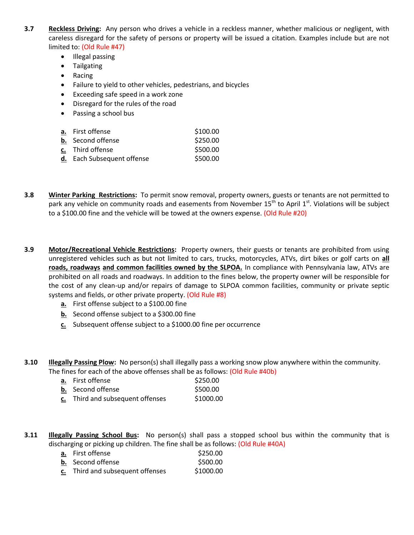- **3.7 Reckless Driving:** Any person who drives a vehicle in a reckless manner, whether malicious or negligent, with careless disregard for the safety of persons or property will be issued a citation. Examples include but are not limited to: (Old Rule #47)
	- Illegal passing
	- **•** Tailgating
	- Racing
	- Failure to yield to other vehicles, pedestrians, and bicycles
	- Exceeding safe speed in a work zone
	- Disregard for the rules of the road
	- Passing a school bus

| <b>a.</b> First offense    | \$100.00 |
|----------------------------|----------|
| <b>b.</b> Second offense   | \$250.00 |
| c. Third offense           | \$500.00 |
| d. Each Subsequent offense | \$500.00 |

- **3.8 Winter Parking Restrictions:** To permit snow removal, property owners, guests or tenants are not permitted to park any vehicle on community roads and easements from November 15<sup>th</sup> to April 1<sup>st</sup>. Violations will be subject to a \$100.00 fine and the vehicle will be towed at the owners expense. (Old Rule #20)
- **3.9 Motor/Recreational Vehicle Restrictions:** Property owners, their guests or tenants are prohibited from using unregistered vehicles such as but not limited to cars, trucks, motorcycles, ATVs, dirt bikes or golf carts on **all roads, roadways and common facilities owned by the SLPOA.** In compliance with Pennsylvania law, ATVs are prohibited on all roads and roadways. In addition to the fines below, the property owner will be responsible for the cost of any clean-up and/or repairs of damage to SLPOA common facilities, community or private septic systems and fields, or other private property. (Old Rule #8)
	- **a.** First offense subject to a \$100.00 fine
	- **b.** Second offense subject to a \$300.00 fine
	- **c.** Subsequent offense subject to a \$1000.00 fine per occurrence
- **3.10 Illegally Passing Plow:** No person(s) shall illegally pass a working snow plow anywhere within the community. The fines for each of the above offenses shall be as follows: (Old Rule #40b)

| a. First offense                 | \$250.00  |
|----------------------------------|-----------|
| <b>b.</b> Second offense         | \$500.00  |
| c. Third and subsequent offenses | \$1000.00 |

**3.11 Illegally Passing School Bus:** No person(s) shall pass a stopped school bus within the community that is discharging or picking up children. The fine shall be as follows: (Old Rule #40A)

| <b>a.</b> First offense          | \$250.00  |
|----------------------------------|-----------|
| <b>b.</b> Second offense         | \$500.00  |
| c. Third and subsequent offenses | \$1000.00 |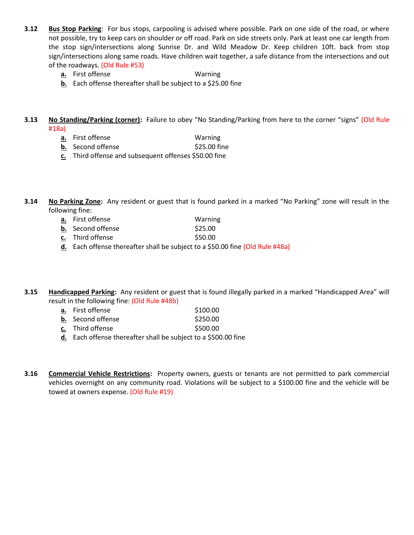- **3.12 Bus Stop Parking**: For bus stops, carpooling is advised where possible. Park on one side of the road, or where not possible, try to keep cars on shoulder or off road. Park on side streets only. Park at least one car length from the stop sign/intersections along Sunrise Dr. and Wild Meadow Dr. Keep children 10ft. back from stop sign/intersections along same roads. Have children wait together, a safe distance from the intersections and out of the roadways. (Old Rule #53)
	- **a.** First offense Warning
	- **b.** Each offense thereafter shall be subject to a \$25.00 fine
- **3.13 No Standing/Parking (corner):** Failure to obey "No Standing/Parking from here to the corner "signs" (Old Rule #18a)
	- **a.** First offense Warning
	- **b.** Second offense \$25.00 fine
	- **c.** Third offense and subsequent offenses \$50.00 fine

**3.14 No Parking Zone:** Any resident or guest that is found parked in a marked "No Parking" zone will result in the following fine:

- **a.** First offense Warning
- **b.** Second offense  $\lessgtr$  \$25.00
- **c.** Third offense \$50.00
- **d.** Each offense thereafter shall be subject to a \$50.00 fine (Old Rule #48a)

**3.15 Handicapped Parking:** Any resident or guest that is found illegally parked in a marked "Handicapped Area" will result in the following fine: (Old Rule #48b)

- **a.** First offense \$100.00
- **b.** Second offense \$250.00
- **c.** Third offense \$500.00
- **d.** Each offense thereafter shall be subject to a \$500.00 fine
- **3.16 Commercial Vehicle Restrictions:** Property owners, guests or tenants are not permitted to park commercial vehicles overnight on any community road. Violations will be subject to a \$100.00 fine and the vehicle will be towed at owners expense. (Old Rule #19)